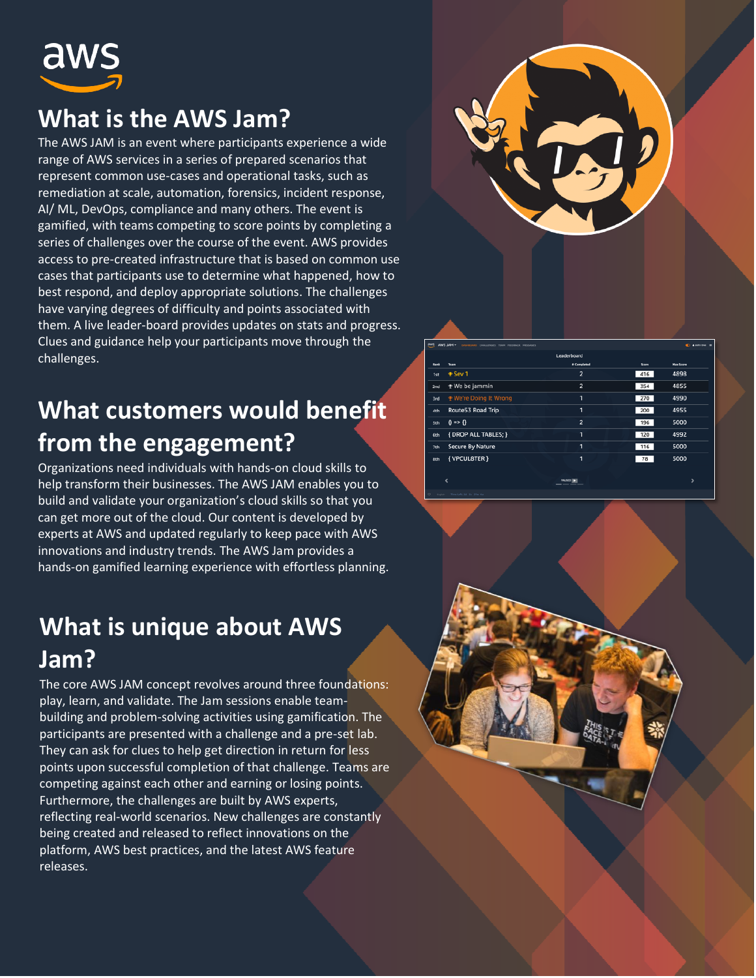

### **What is the AWS Jam?**

The AWS JAM is an event where participants experience a wide range of AWS services in a series of prepared scenarios that represent common use-cases and operational tasks, such as remediation at scale, automation, forensics, incident response, AI/ ML, DevOps, compliance and many others. The event is gamified, with teams competing to score points by completing a series of challenges over the course of the event. AWS provides access to pre-created infrastructure that is based on common use cases that participants use to determine what happened, how to best respond, and deploy appropriate solutions. The challenges have varying degrees of difficulty and points associated with them. A live leader-board provides updates on stats and progress. Clues and guidance help your participants move through the challenges.

# **What customers would benefit from the engagement?**

Organizations need individuals with hands-on cloud skills to help transform their businesses. The AWS JAM enables you to build and validate your organization's cloud skills so that you can get more out of the cloud. Our content is developed by experts at AWS and updated regularly to keep pace with AWS innovations and industry trends. The AWS Jam provides a hands-on gamified learning experience with effortless planning.

#### **What is unique about AWS Jam?**

The core AWS JAM concept revolves around three foundations: play, learn, and validate. The Jam sessions enable teambuilding and problem-solving activities using gamification. The participants are presented with a challenge and a pre-set lab. They can ask for clues to help get direction in return for less points upon successful completion of that challenge. Teams are competing against each other and earning or losing points. Furthermore, the challenges are built by AWS experts, reflecting real-world scenarios. New challenges are constantly being created and released to reflect innovations on the platform, AWS best practices, and the latest AWS feature releases.



| aws  | AWS JAM -<br>DASHBOARD OVALLENGES TEAM FEEDBACK MESSAGES |                |       | <b>C Alpha Doc III</b> |
|------|----------------------------------------------------------|----------------|-------|------------------------|
|      |                                                          | Leaderboard    |       |                        |
| Rank | <b>Team</b>                                              | # Completed    | Score | <b>Max Score</b>       |
| 1st  | <b>⊕</b> Sev 1                                           | $\overline{2}$ | 416   | 4898                   |
| 2nd  | <b>₹</b> We be jammin                                    | $\overline{2}$ | 354   | 4855                   |
| 3rd  | * We're Doing It Wrong                                   | n              | 270   | 4990                   |
| 4th  | Route53 Road Trip                                        | 1              | 200   | 4955                   |
| Sth  | $0 \Rightarrow 0$                                        | $\overline{2}$ | 196   | 5000                   |
| 6th  | { DROP ALL TABLES; }                                     | 1              | 120   | 4992                   |
| 7th  | <b>Secure By Nature</b>                                  | 1              | 116   | 5000                   |
| 8th  | { VPCUL8TER }                                            | 1              | 78    | 5000                   |
|      |                                                          |                |       |                        |
|      |                                                          | PALISED THE    |       | s                      |